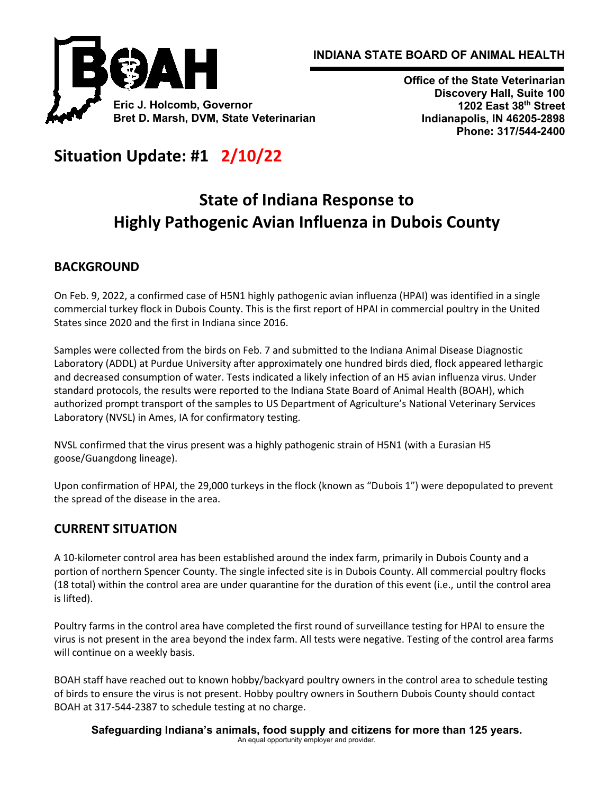



**Office of the State Veterinarian Discovery Hall, Suite 100 1202 East 38th Street Indianapolis, IN 46205-2898 Phone: 317/544-2400**

# **Situation Update: #1 2/10/22**

# **State of Indiana Response to Highly Pathogenic Avian Influenza in Dubois County**

## **BACKGROUND**

On Feb. 9, 2022, a confirmed case of H5N1 highly pathogenic avian influenza (HPAI) was identified in a single commercial turkey flock in Dubois County. This is the first report of HPAI in commercial poultry in the United States since 2020 and the first in Indiana since 2016.

Samples were collected from the birds on Feb. 7 and submitted to the Indiana Animal Disease Diagnostic Laboratory (ADDL) at Purdue University after approximately one hundred birds died, flock appeared lethargic and decreased consumption of water. Tests indicated a likely infection of an H5 avian influenza virus. Under standard protocols, the results were reported to the Indiana State Board of Animal Health (BOAH), which authorized prompt transport of the samples to US Department of Agriculture's National Veterinary Services Laboratory (NVSL) in Ames, IA for confirmatory testing.

NVSL confirmed that the virus present was a highly pathogenic strain of H5N1 (with a Eurasian H5 goose/Guangdong lineage).

Upon confirmation of HPAI, the 29,000 turkeys in the flock (known as "Dubois 1") were depopulated to prevent the spread of the disease in the area.

#### **CURRENT SITUATION**

A 10-kilometer control area has been established around the index farm, primarily in Dubois County and a portion of northern Spencer County. The single infected site is in Dubois County. All commercial poultry flocks (18 total) within the control area are under quarantine for the duration of this event (i.e., until the control area is lifted).

Poultry farms in the control area have completed the first round of surveillance testing for HPAI to ensure the virus is not present in the area beyond the index farm. All tests were negative. Testing of the control area farms will continue on a weekly basis.

BOAH staff have reached out to known hobby/backyard poultry owners in the control area to schedule testing of birds to ensure the virus is not present. Hobby poultry owners in Southern Dubois County should contact BOAH at 317-544-2387 to schedule testing at no charge.

**Safeguarding Indiana's animals, food supply and citizens for more than 125 years.** An equal opportunity employer and provider.